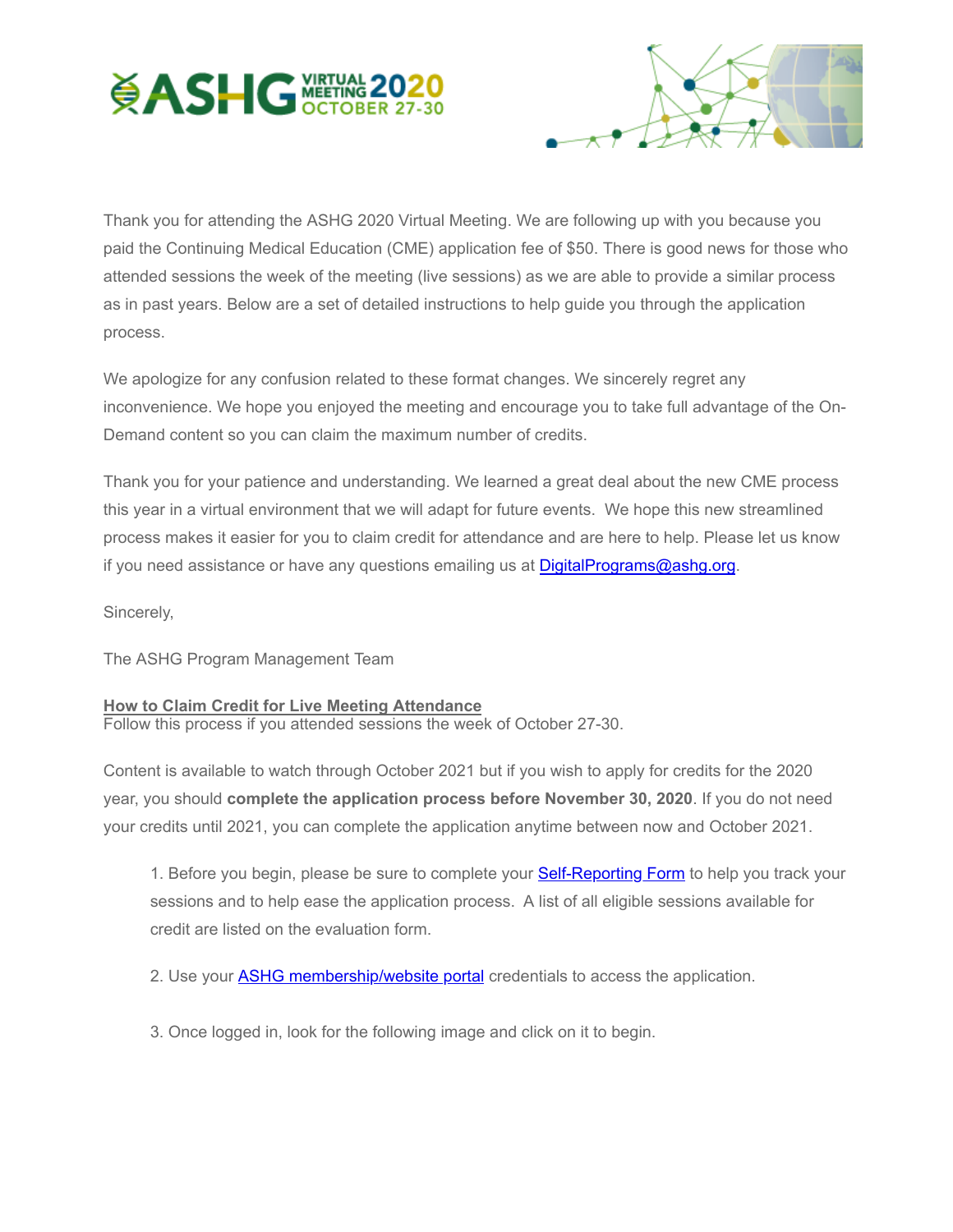



Thank you for attending the ASHG 2020 Virtual Meeting. We are following up with you because you paid the Continuing Medical Education (CME) application fee of \$50. There is good news for those who attended sessions the week of the meeting (live sessions) as we are able to provide a similar process as in past years. Below are a set of detailed instructions to help guide you through the application process.

We apologize for any confusion related to these format changes. We sincerely regret any inconvenience. We hope you enjoyed the meeting and encourage you to take full advantage of the On-Demand content so you can claim the maximum number of credits.

Thank you for your patience and understanding. We learned a great deal about the new CME process this year in a virtual environment that we will adapt for future events. We hope this new streamlined process makes it easier for you to claim credit for attendance and are here to help. Please let us know if you need assistance or have any questions emailing us at [DigitalPrograms@ashg.org.](mailto:DigitalPrograms@ashg.org)

Sincerely,

The ASHG Program Management Team

## **How to Claim Credit for Live Meeting Attendance**

Follow this process if you attended sessions the week of October 27-30.

Content is available to watch through October 2021 but if you wish to apply for credits for the 2020 year, you should **complete the application process before November 30, 2020**. If you do not need your credits until 2021, you can complete the application anytime between now and October 2021.

1. Before you begin, please be sure to complete your **[Self-Reporting Form](http://send.ashg.org/link.cfm?r=_Yn-ovcQmPg-jtC9IJJTwA~~&pe=reMS1v3srXMFbl0TGRhdFi2wDhmydmENG_cqXU304nfz1Rf-oxFUvK7gOwfANePVW4MMQUa6GY2dg6wFa96gSQ~~&t=INSERT_TRACKING_ENCID)** to help you track your sessions and to help ease the application process. A list of all eligible sessions available for credit are listed on the evaluation form.

2. Use your **ASHG membership/website portal** credentials to access the application.

3. Once logged in, look for the following image and click on it to begin.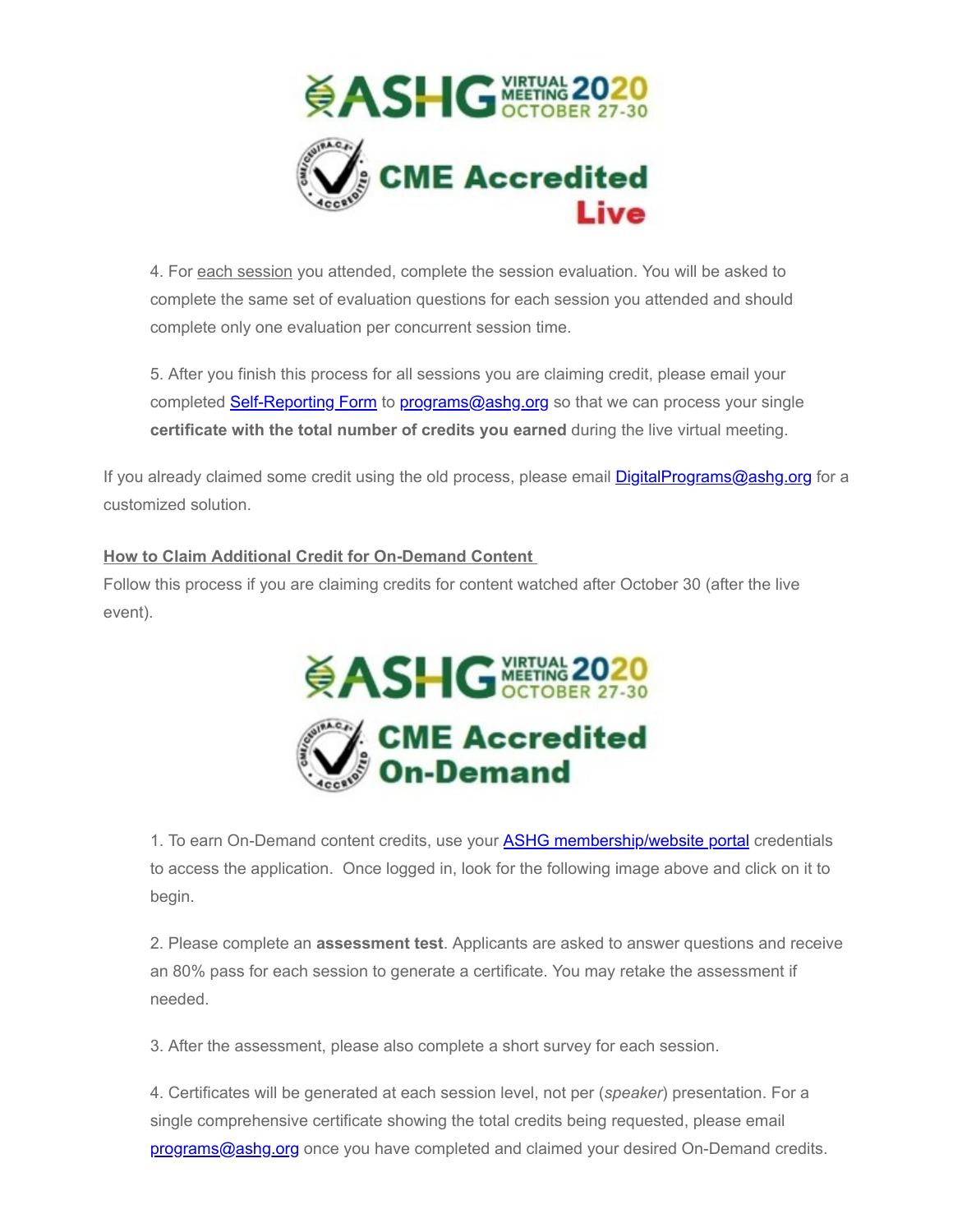

4. For each session you attended, complete the session evaluation. You will be asked to complete the same set of evaluation questions for each session you attended and should complete only one evaluation per concurrent session time.

5. After you finish this process for all sessions you are claiming credit, please email your completed [Self-Reporting Form](http://send.ashg.org/link.cfm?r=_Yn-ovcQmPg-jtC9IJJTwA~~&pe=lUk2bCMeJPpeno6QZzaXXCvknmDX7nhCN3Nm8E6WjG8ctkPZSnUEGyP361Gj5__qXC5nnWjCUr4dFnpW3lDC4w~~&t=INSERT_TRACKING_ENCID) to [programs@ashg.org](mailto:programs@ashg.org) so that we can process your single **certificate with the total number of credits you earned** during the live virtual meeting.

If you already claimed some credit using the old process, please email **DigitalPrograms@ashg.org** for a customized solution.

## **How to Claim Additional Credit for On-Demand Content**

Follow this process if you are claiming credits for content watched after October 30 (after the live event).



1. To earn On-Demand content credits, use your **ASHG membership/website portal** credentials to access the application. Once logged in, look for the following image above and click on it to begin.

2. Please complete an **assessment test**. Applicants are asked to answer questions and receive an 80% pass for each session to generate a certificate. You may retake the assessment if needed.

3. After the assessment, please also complete a short survey for each session.

4. Certificates will be generated at each session level, not per (*speaker*) presentation. For a single comprehensive certificate showing the total credits being requested, please email [programs@ashg.org](mailto:programs@ashg.org) once you have completed and claimed your desired On-Demand credits.